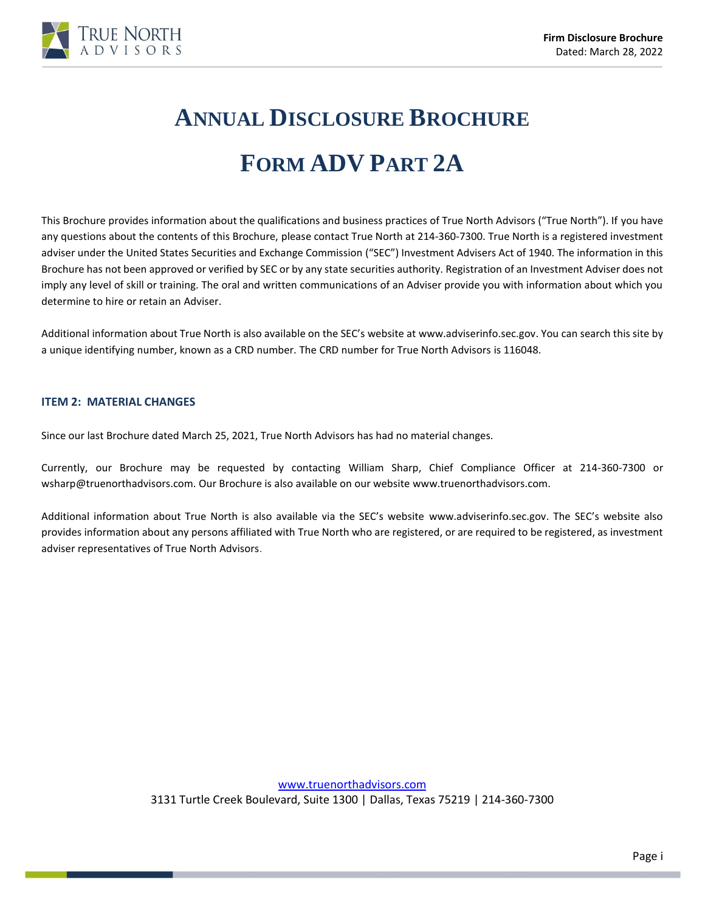

# **ANNUAL DISCLOSURE BROCHURE**

## **FORM ADV PART 2A**

This Brochure provides information about the qualifications and business practices of True North Advisors ("True North"). If you have any questions about the contents of this Brochure, please contact True North at 214-360-7300. True North is a registered investment adviser under the United States Securities and Exchange Commission ("SEC") Investment Advisers Act of 1940. The information in this Brochure has not been approved or verified by SEC or by any state securities authority. Registration of an Investment Adviser does not imply any level of skill or training. The oral and written communications of an Adviser provide you with information about which you determine to hire or retain an Adviser.

Additional information about True North is also available on the SEC's website at [www.adviserinfo.sec.gov.](http://www.adviserinfo.sec.gov/) You can search this site by a unique identifying number, known as a CRD number. The CRD number for True North Advisors is 116048.

#### <span id="page-0-0"></span>**ITEM 2: MATERIAL CHANGES**

Since our last Brochure dated March 25, 2021, True North Advisors has had no material changes.

Currently, our Brochure may be requested by contacting William Sharp, Chief Compliance Officer at 214-360-7300 or wsharp@truenorthadvisors.com. Our Brochure is also available on our websit[e www.truenorthadvisors.com.](http://www.truenorthadvisors.com/)

<span id="page-0-1"></span>Additional information about True North is also available via the SEC's website [www.adviserinfo.sec.gov.](http://www.adviserinfo.sec.gov/) The SEC's website also provides information about any persons affiliated with True North who are registered, or are required to be registered, as investment adviser representatives of True North Advisors.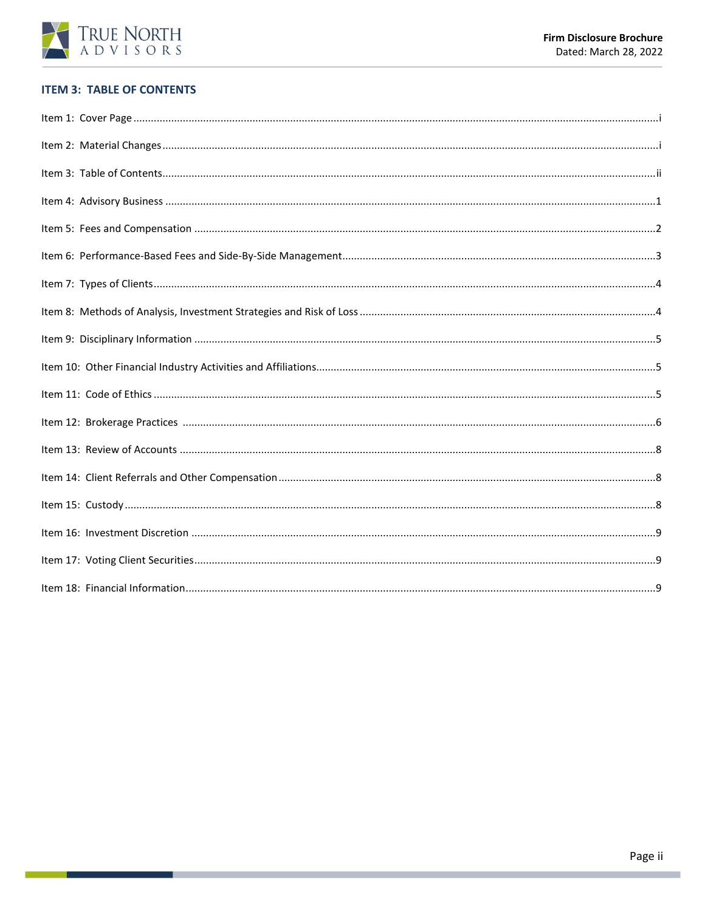

## **ITEM 3: TABLE OF CONTENTS**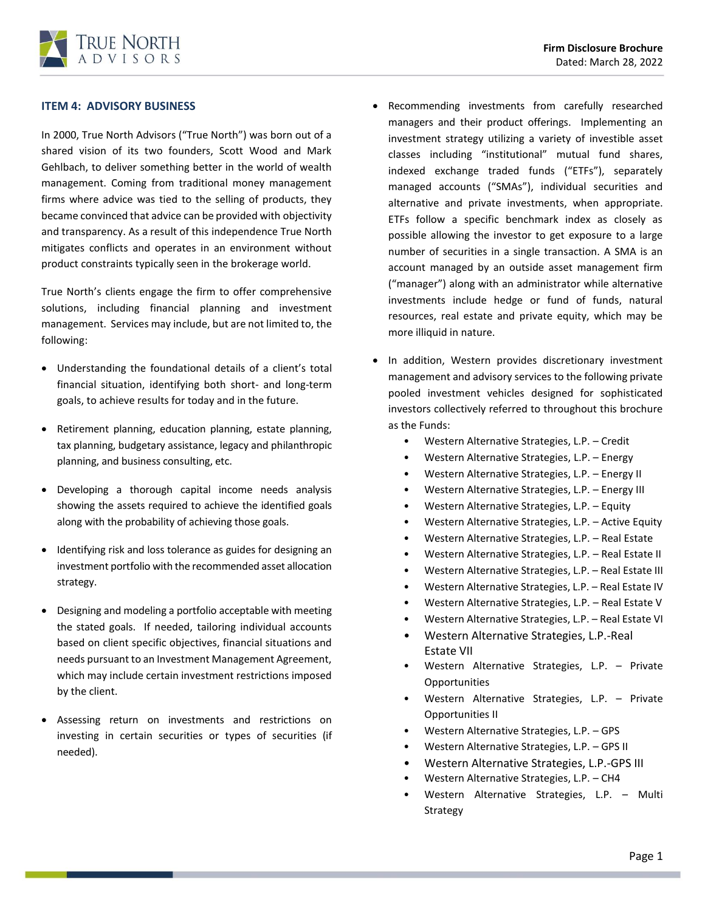#### **ITEM 4: ADVISORY BUSINESS**

In 2000, True North Advisors ("True North") was born out of a shared vision of its two founders, Scott Wood and Mark Gehlbach, to deliver something better in the world of wealth management. Coming from traditional money management firms where advice was tied to the selling of products, they became convinced that advice can be provided with objectivity and transparency. As a result of this independence True North mitigates conflicts and operates in an environment without product constraints typically seen in the brokerage world.

True North's clients engage the firm to offer comprehensive solutions, including financial planning and investment management. Services may include, but are not limited to, the following:

- Understanding the foundational details of a client's total financial situation, identifying both short- and long-term goals, to achieve results for today and in the future.
- Retirement planning, education planning, estate planning, tax planning, budgetary assistance, legacy and philanthropic planning, and business consulting, etc.
- Developing a thorough capital income needs analysis showing the assets required to achieve the identified goals along with the probability of achieving those goals.
- Identifying risk and loss tolerance as guides for designing an investment portfolio with the recommended asset allocation strategy.
- Designing and modeling a portfolio acceptable with meeting the stated goals. If needed, tailoring individual accounts based on client specific objectives, financial situations and needs pursuant to an Investment Management Agreement, which may include certain investment restrictions imposed by the client.
- Assessing return on investments and restrictions on investing in certain securities or types of securities (if needed).
- Recommending investments from carefully researched managers and their product offerings. Implementing an investment strategy utilizing a variety of investible asset classes including "institutional" mutual fund shares, indexed exchange traded funds ("ETFs"), separately managed accounts ("SMAs"), individual securities and alternative and private investments, when appropriate. ETFs follow a specific benchmark index as closely as possible allowing the investor to get exposure to a large number of securities in a single transaction. A SMA is an account managed by an outside asset management firm ("manager") along with an administrator while alternative investments include hedge or fund of funds, natural resources, real estate and private equity, which may be more illiquid in nature.
- In addition, Western provides discretionary investment management and advisory services to the following private pooled investment vehicles designed for sophisticated investors collectively referred to throughout this brochure as the Funds:
	- Western Alternative Strategies, L.P. Credit
	- Western Alternative Strategies, L.P. Energy
	- Western Alternative Strategies, L.P. Energy II
	- Western Alternative Strategies, L.P. Energy III
	- Western Alternative Strategies, L.P. Equity
	- Western Alternative Strategies, L.P. Active Equity
	- Western Alternative Strategies, L.P. Real Estate
	- Western Alternative Strategies, L.P. Real Estate II
	- Western Alternative Strategies, L.P. Real Estate III
	- Western Alternative Strategies, L.P. Real Estate IV
	- Western Alternative Strategies, L.P. Real Estate V
	- Western Alternative Strategies, L.P. Real Estate VI
	- Western Alternative Strategies, L.P.-Real Estate VII
	- Western Alternative Strategies, L.P. Private **Opportunities**
	- Western Alternative Strategies, L.P. Private Opportunities II
	- Western Alternative Strategies, L.P. GPS
	- Western Alternative Strategies, L.P. GPS II
	- Western Alternative Strategies, L.P.-GPS III
	- Western Alternative Strategies, L.P. CH4
	- Western Alternative Strategies, L.P. Multi Strategy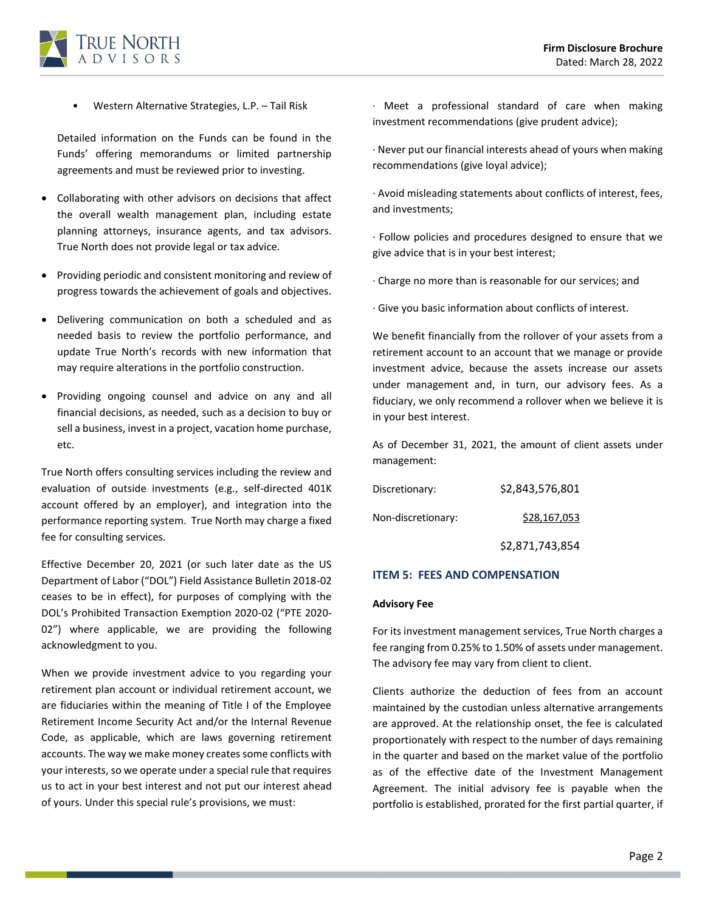

• Western Alternative Strategies, L.P. – Tail Risk

Detailed information on the Funds can be found in the Funds' offering memorandums or limited partnership agreements and must be reviewed prior to investing.

- Collaborating with other advisors on decisions that affect the overall wealth management plan, including estate planning attorneys, insurance agents, and tax advisors. True North does not provide legal or tax advice.
- Providing periodic and consistent monitoring and review of progress towards the achievement of goals and objectives.
- Delivering communication on both a scheduled and as needed basis to review the portfolio performance, and update True North's records with new information that may require alterations in the portfolio construction.
- Providing ongoing counsel and advice on any and all financial decisions, as needed, such as a decision to buy or sell a business, invest in a project, vacation home purchase, etc.

True North offers consulting services including the review and evaluation of outside investments (e.g., self-directed 401K account offered by an employer), and integration into the performance reporting system. True North may charge a fixed fee for consulting services.

Effective December 20, 2021 (or such later date as the US Department of Labor ("DOL") Field Assistance Bulletin 2018-02 ceases to be in effect), for purposes of complying with the DOL's Prohibited Transaction Exemption 2020-02 ("PTE 2020- 02") where applicable, we are providing the following acknowledgment to you.

When we provide investment advice to you regarding your retirement plan account or individual retirement account, we are fiduciaries within the meaning of Title I of the Employee Retirement Income Security Act and/or the Internal Revenue Code, as applicable, which are laws governing retirement accounts. The way we make money creates some conflicts with your interests, so we operate under a special rule that requires us to act in your best interest and not put our interest ahead of yours. Under this special rule's provisions, we must:

· Meet a professional standard of care when making investment recommendations (give prudent advice);

· Never put our financial interests ahead of yours when making recommendations (give loyal advice);

· Avoid misleading statements about conflicts of interest, fees, and investments;

· Follow policies and procedures designed to ensure that we give advice that is in your best interest;

· Charge no more than is reasonable for our services; and

· Give you basic information about conflicts of interest.

We benefit financially from the rollover of your assets from a retirement account to an account that we manage or provide investment advice, because the assets increase our assets under management and, in turn, our advisory fees. As a fiduciary, we only recommend a rollover when we believe it is in your best interest.

As of December 31, 2021, the amount of client assets under management:

| Discretionary:     | \$2,843,576,801 |
|--------------------|-----------------|
| Non-discretionary: | \$28,167,053    |
|                    | \$2.871.743.854 |

#### <span id="page-3-0"></span>**ITEM 5: FEES AND COMPENSATION**

#### **Advisory Fee**

For its investment management services, True North charges a fee ranging from 0.25% to 1.50% of assets under management. The advisory fee may vary from client to client.

Clients authorize the deduction of fees from an account maintained by the custodian unless alternative arrangements are approved. At the relationship onset, the fee is calculated proportionately with respect to the number of days remaining in the quarter and based on the market value of the portfolio as of the effective date of the Investment Management Agreement. The initial advisory fee is payable when the portfolio is established, prorated for the first partial quarter, if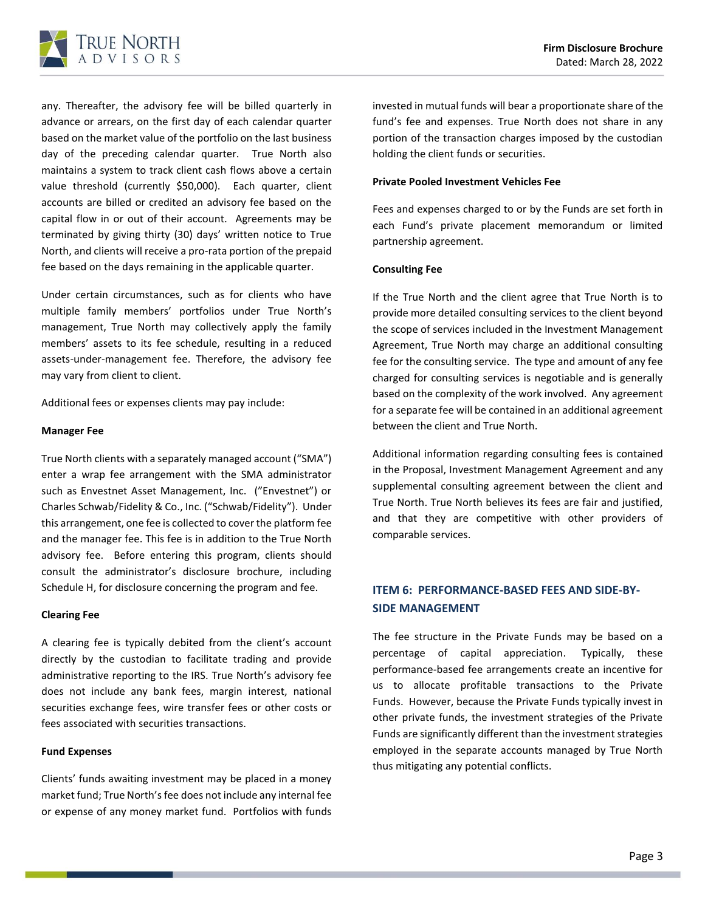

any. Thereafter, the advisory fee will be billed quarterly in advance or arrears, on the first day of each calendar quarter based on the market value of the portfolio on the last business day of the preceding calendar quarter. True North also maintains a system to track client cash flows above a certain value threshold (currently \$50,000). Each quarter, client accounts are billed or credited an advisory fee based on the capital flow in or out of their account. Agreements may be terminated by giving thirty (30) days' written notice to True North, and clients will receive a pro-rata portion of the prepaid fee based on the days remaining in the applicable quarter.

Under certain circumstances, such as for clients who have multiple family members' portfolios under True North's management, True North may collectively apply the family members' assets to its fee schedule, resulting in a reduced assets-under-management fee. Therefore, the advisory fee may vary from client to client.

Additional fees or expenses clients may pay include:

#### **Manager Fee**

True North clients with a separately managed account ("SMA") enter a wrap fee arrangement with the SMA administrator such as Envestnet Asset Management, Inc. ("Envestnet") or Charles Schwab/Fidelity & Co., Inc. ("Schwab/Fidelity"). Under this arrangement, one fee is collected to cover the platform fee and the manager fee. This fee is in addition to the True North advisory fee. Before entering this program, clients should consult the administrator's disclosure brochure, including Schedule H, for disclosure concerning the program and fee.

#### **Clearing Fee**

A clearing fee is typically debited from the client's account directly by the custodian to facilitate trading and provide administrative reporting to the IRS. True North's advisory fee does not include any bank fees, margin interest, national securities exchange fees, wire transfer fees or other costs or fees associated with securities transactions.

#### **Fund Expenses**

Clients' funds awaiting investment may be placed in a money market fund; True North's fee does not include any internal fee or expense of any money market fund. Portfolios with funds

invested in mutual funds will bear a proportionate share of the fund's fee and expenses. True North does not share in any portion of the transaction charges imposed by the custodian holding the client funds or securities.

#### **Private Pooled Investment Vehicles Fee**

Fees and expenses charged to or by the Funds are set forth in each Fund's private placement memorandum or limited partnership agreement.

#### **Consulting Fee**

If the True North and the client agree that True North is to provide more detailed consulting services to the client beyond the scope of services included in the Investment Management Agreement, True North may charge an additional consulting fee for the consulting service. The type and amount of any fee charged for consulting services is negotiable and is generally based on the complexity of the work involved. Any agreement for a separate fee will be contained in an additional agreement between the client and True North.

Additional information regarding consulting fees is contained in the Proposal, Investment Management Agreement and any supplemental consulting agreement between the client and True North. True North believes its fees are fair and justified, and that they are competitive with other providers of comparable services.

## <span id="page-4-0"></span>**ITEM 6: PERFORMANCE-BASED FEES AND SIDE-BY-SIDE MANAGEMENT**

<span id="page-4-1"></span>The fee structure in the Private Funds may be based on a percentage of capital appreciation. Typically, these performance-based fee arrangements create an incentive for us to allocate profitable transactions to the Private Funds. However, because the Private Funds typically invest in other private funds, the investment strategies of the Private Funds are significantly different than the investment strategies employed in the separate accounts managed by True North thus mitigating any potential conflicts.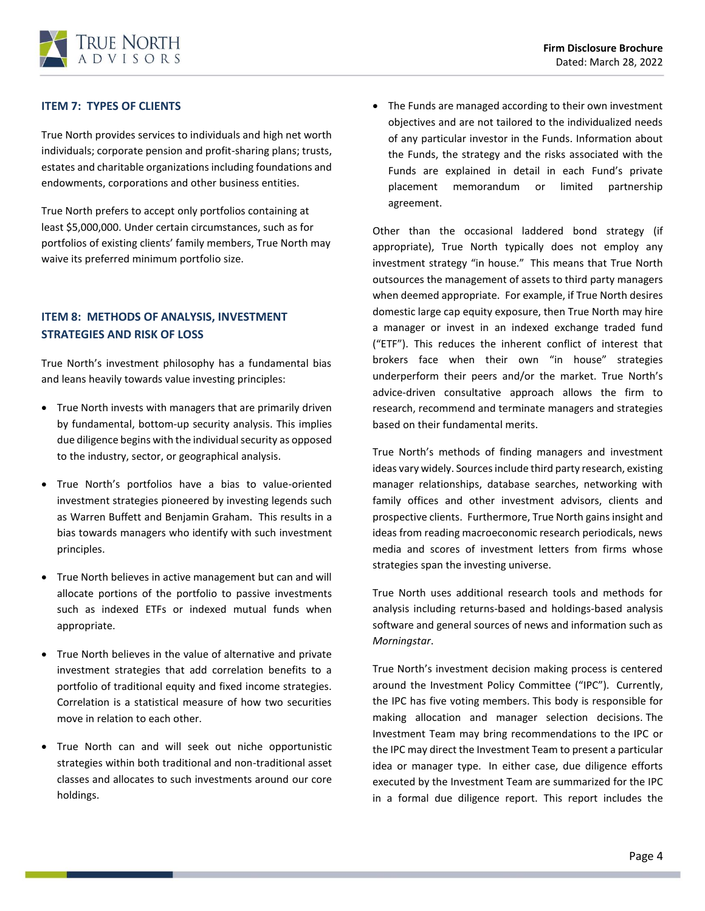## **ITEM 7: TYPES OF CLIENTS**

True North provides services to individuals and high net worth individuals; corporate pension and profit-sharing plans; trusts, estates and charitable organizations including foundations and endowments, corporations and other business entities.

True North prefers to accept only portfolios containing at least \$5,000,000. Under certain circumstances, such as for portfolios of existing clients' family members, True North may waive its preferred minimum portfolio size.

## **ITEM 8: METHODS OF ANALYSIS, INVESTMENT STRATEGIES AND RISK OF LOSS**

True North's investment philosophy has a fundamental bias and leans heavily towards value investing principles:

- True North invests with managers that are primarily driven by fundamental, bottom-up security analysis. This implies due diligence begins with the individual security as opposed to the industry, sector, or geographical analysis.
- True North's portfolios have a bias to value-oriented investment strategies pioneered by investing legends such as Warren Buffett and Benjamin Graham. This results in a bias towards managers who identify with such investment principles.
- True North believes in active management but can and will allocate portions of the portfolio to passive investments such as indexed ETFs or indexed mutual funds when appropriate.
- True North believes in the value of alternative and private investment strategies that add correlation benefits to a portfolio of traditional equity and fixed income strategies. Correlation is a statistical measure of how two securities move in relation to each other.
- True North can and will seek out niche opportunistic strategies within both traditional and non-traditional asset classes and allocates to such investments around our core holdings.

• The Funds are managed according to their own investment objectives and are not tailored to the individualized needs of any particular investor in the Funds. Information about the Funds, the strategy and the risks associated with the Funds are explained in detail in each Fund's private placement memorandum or limited partnership agreement.

<span id="page-5-0"></span>Other than the occasional laddered bond strategy (if appropriate), True North typically does not employ any investment strategy "in house." This means that True North outsources the management of assets to third party managers when deemed appropriate. For example, if True North desires domestic large cap equity exposure, then True North may hire a manager or invest in an indexed exchange traded fund ("ETF"). This reduces the inherent conflict of interest that brokers face when their own "in house" strategies underperform their peers and/or the market. True North's advice-driven consultative approach allows the firm to research, recommend and terminate managers and strategies based on their fundamental merits.

True North's methods of finding managers and investment ideas vary widely. Sources include third party research, existing manager relationships, database searches, networking with family offices and other investment advisors, clients and prospective clients. Furthermore, True North gains insight and ideas from reading macroeconomic research periodicals, news media and scores of investment letters from firms whose strategies span the investing universe.

True North uses additional research tools and methods for analysis including returns-based and holdings-based analysis software and general sources of news and information such as *Morningstar*.

True North's investment decision making process is centered around the Investment Policy Committee ("IPC"). Currently, the IPC has five voting members. This body is responsible for making allocation and manager selection decisions. The Investment Team may bring recommendations to the IPC or the IPC may direct the Investment Team to present a particular idea or manager type. In either case, due diligence efforts executed by the Investment Team are summarized for the IPC in a formal due diligence report. This report includes the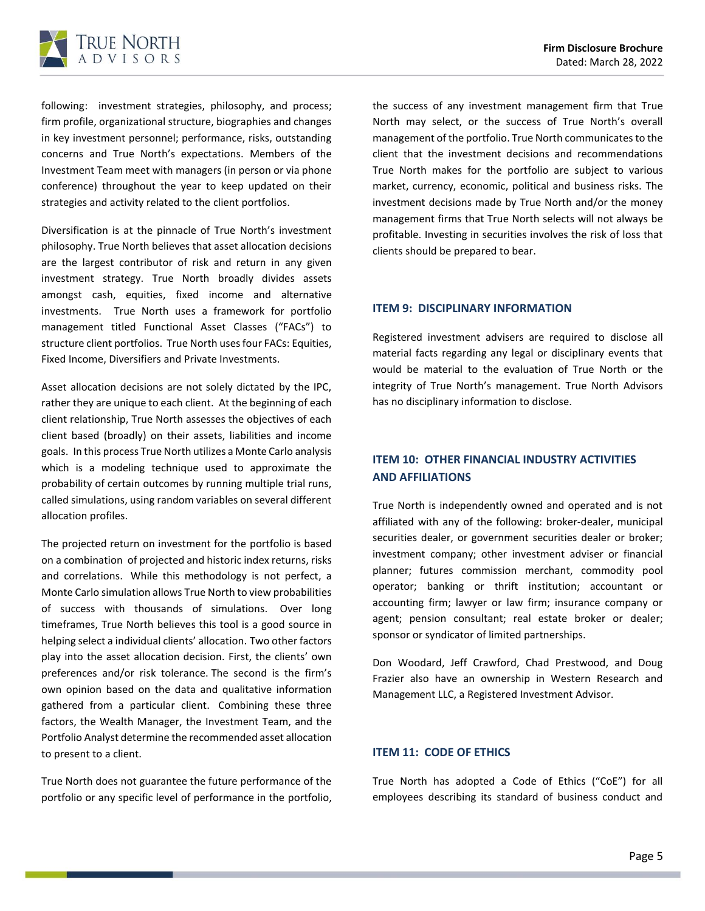

following: investment strategies, philosophy, and process; firm profile, organizational structure, biographies and changes in key investment personnel; performance, risks, outstanding concerns and True North's expectations. Members of the Investment Team meet with managers (in person or via phone conference) throughout the year to keep updated on their strategies and activity related to the client portfolios.

Diversification is at the pinnacle of True North's investment philosophy. True North believes that asset allocation decisions are the largest contributor of risk and return in any given investment strategy. True North broadly divides assets amongst cash, equities, fixed income and alternative investments. True North uses a framework for portfolio management titled Functional Asset Classes ("FACs") to structure client portfolios. True North uses four FACs: Equities, Fixed Income, Diversifiers and Private Investments.

Asset allocation decisions are not solely dictated by the IPC, rather they are unique to each client. At the beginning of each client relationship, True North assesses the objectives of each client based (broadly) on their assets, liabilities and income goals. In this process True North utilizes a Monte Carlo analysis which is a modeling technique used to approximate the probability of certain outcomes by running multiple trial runs, called simulations, using random variables on several different allocation profiles.

The projected return on investment for the portfolio is based on a combination of projected and historic index returns, risks and correlations. While this methodology is not perfect, a Monte Carlo simulation allows True North to view probabilities of success with thousands of simulations. Over long timeframes, True North believes this tool is a good source in helping select a individual clients' allocation. Two other factors play into the asset allocation decision. First, the clients' own preferences and/or risk tolerance. The second is the firm's own opinion based on the data and qualitative information gathered from a particular client. Combining these three factors, the Wealth Manager, the Investment Team, and the Portfolio Analyst determine the recommended asset allocation to present to a client.

True North does not guarantee the future performance of the portfolio or any specific level of performance in the portfolio,

the success of any investment management firm that True North may select, or the success of True North's overall management of the portfolio. True North communicates to the client that the investment decisions and recommendations True North makes for the portfolio are subject to various market, currency, economic, political and business risks. The investment decisions made by True North and/or the money management firms that True North selects will not always be profitable. Investing in securities involves the risk of loss that clients should be prepared to bear.

#### <span id="page-6-0"></span>**ITEM 9: DISCIPLINARY INFORMATION**

Registered investment advisers are required to disclose all material facts regarding any legal or disciplinary events that would be material to the evaluation of True North or the integrity of True North's management. True North Advisors has no disciplinary information to disclose.

## <span id="page-6-1"></span>**ITEM 10: OTHER FINANCIAL INDUSTRY ACTIVITIES AND AFFILIATIONS**

True North is independently owned and operated and is not affiliated with any of the following: broker-dealer, municipal securities dealer, or government securities dealer or broker; investment company; other investment adviser or financial planner; futures commission merchant, commodity pool operator; banking or thrift institution; accountant or accounting firm; lawyer or law firm; insurance company or agent; pension consultant; real estate broker or dealer; sponsor or syndicator of limited partnerships.

Don Woodard, Jeff Crawford, Chad Prestwood, and Doug Frazier also have an ownership in Western Research and Management LLC, a Registered Investment Advisor.

#### <span id="page-6-2"></span>**ITEM 11: CODE OF ETHICS**

True North has adopted a Code of Ethics ("CoE") for all employees describing its standard of business conduct and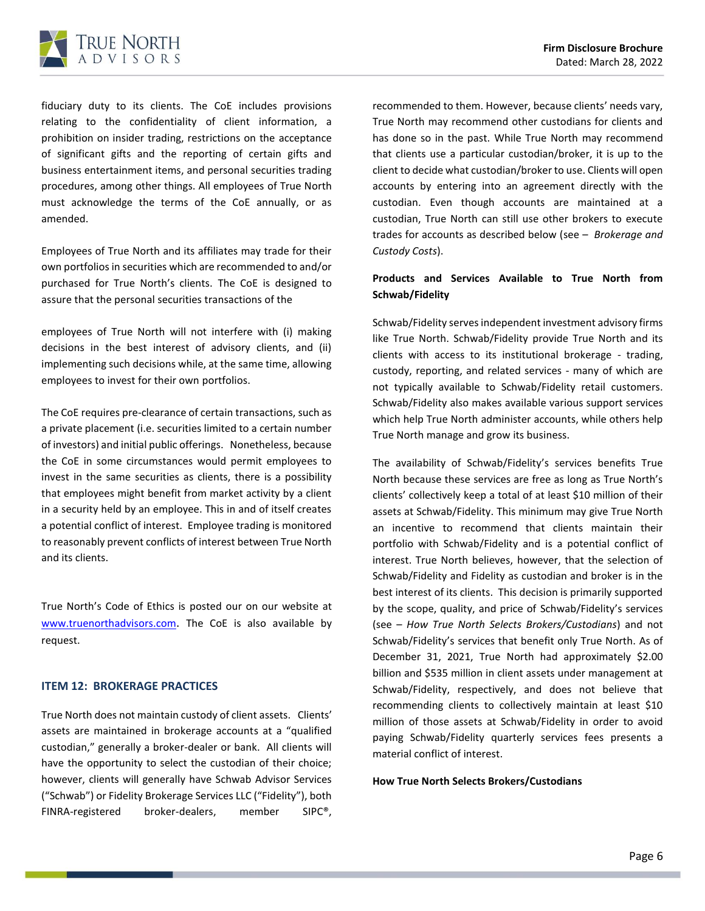

fiduciary duty to its clients. The CoE includes provisions relating to the confidentiality of client information, a prohibition on insider trading, restrictions on the acceptance of significant gifts and the reporting of certain gifts and business entertainment items, and personal securities trading procedures, among other things. All employees of True North must acknowledge the terms of the CoE annually, or as amended.

Employees of True North and its affiliates may trade for their own portfolios in securities which are recommended to and/or purchased for True North's clients. The CoE is designed to assure that the personal securities transactions of the

employees of True North will not interfere with (i) making decisions in the best interest of advisory clients, and (ii) implementing such decisions while, at the same time, allowing employees to invest for their own portfolios.

The CoE requires pre-clearance of certain transactions, such as a private placement (i.e. securities limited to a certain number of investors) and initial public offerings. Nonetheless, because the CoE in some circumstances would permit employees to invest in the same securities as clients, there is a possibility that employees might benefit from market activity by a client in a security held by an employee. This in and of itself creates a potential conflict of interest. Employee trading is monitored to reasonably prevent conflicts of interest between True North and its clients.

<span id="page-7-0"></span>True North's Code of Ethics is posted our on our website at [www.truenorthadvisors.com](http://www.truenorthadvisors.com/). The CoE is also available by request.

#### **ITEM 12: BROKERAGE PRACTICES**

True North does not maintain custody of client assets. Clients' assets are maintained in brokerage accounts at a "qualified custodian," generally a broker-dealer or bank. All clients will have the opportunity to select the custodian of their choice; however, clients will generally have Schwab Advisor Services ("Schwab") or Fidelity Brokerage Services LLC ("Fidelity"), both FINRA-registered broker-dealers, member SIPC®,

recommended to them. However, because clients' needs vary, True North may recommend other custodians for clients and has done so in the past. While True North may recommend that clients use a particular custodian/broker, it is up to the client to decide what custodian/broker to use. Clients will open accounts by entering into an agreement directly with the custodian. Even though accounts are maintained at a custodian, True North can still use other brokers to execute trades for accounts as described below (see – *Brokerage and Custody Costs*).

## **Products and Services Available to True North from Schwab/Fidelity**

Schwab/Fidelity serves independent investment advisory firms like True North. Schwab/Fidelity provide True North and its clients with access to its institutional brokerage - trading, custody, reporting, and related services - many of which are not typically available to Schwab/Fidelity retail customers. Schwab/Fidelity also makes available various support services which help True North administer accounts, while others help True North manage and grow its business.

The availability of Schwab/Fidelity's services benefits True North because these services are free as long as True North's clients' collectively keep a total of at least \$10 million of their assets at Schwab/Fidelity. This minimum may give True North an incentive to recommend that clients maintain their portfolio with Schwab/Fidelity and is a potential conflict of interest. True North believes, however, that the selection of Schwab/Fidelity and Fidelity as custodian and broker is in the best interest of its clients. This decision is primarily supported by the scope, quality, and price of Schwab/Fidelity's services (see – *How True North Selects Brokers/Custodians*) and not Schwab/Fidelity's services that benefit only True North. As of December 31, 2021, True North had approximately \$2.00 billion and \$535 million in client assets under management at Schwab/Fidelity, respectively, and does not believe that recommending clients to collectively maintain at least \$10 million of those assets at Schwab/Fidelity in order to avoid paying Schwab/Fidelity quarterly services fees presents a material conflict of interest.

#### **How True North Selects Brokers/Custodians**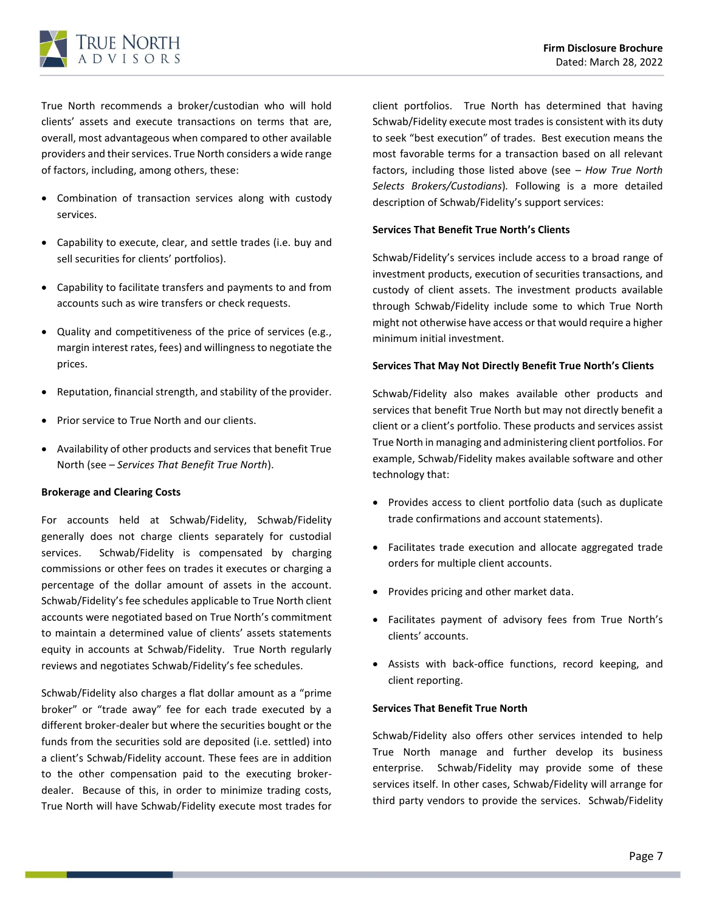

True North recommends a broker/custodian who will hold clients' assets and execute transactions on terms that are, overall, most advantageous when compared to other available providers and their services. True North considers a wide range of factors, including, among others, these:

- Combination of transaction services along with custody services.
- Capability to execute, clear, and settle trades (i.e. buy and sell securities for clients' portfolios).
- Capability to facilitate transfers and payments to and from accounts such as wire transfers or check requests.
- Quality and competitiveness of the price of services (e.g., margin interest rates, fees) and willingness to negotiate the prices.
- Reputation, financial strength, and stability of the provider.
- Prior service to True North and our clients.
- Availability of other products and services that benefit True North (see – *Services That Benefit True North*).

#### **Brokerage and Clearing Costs**

For accounts held at Schwab/Fidelity, Schwab/Fidelity generally does not charge clients separately for custodial services. Schwab/Fidelity is compensated by charging commissions or other fees on trades it executes or charging a percentage of the dollar amount of assets in the account. Schwab/Fidelity's fee schedules applicable to True North client accounts were negotiated based on True North's commitment to maintain a determined value of clients' assets statements equity in accounts at Schwab/Fidelity. True North regularly reviews and negotiates Schwab/Fidelity's fee schedules.

Schwab/Fidelity also charges a flat dollar amount as a "prime broker" or "trade away" fee for each trade executed by a different broker-dealer but where the securities bought or the funds from the securities sold are deposited (i.e. settled) into a client's Schwab/Fidelity account. These fees are in addition to the other compensation paid to the executing brokerdealer. Because of this, in order to minimize trading costs, True North will have Schwab/Fidelity execute most trades for

client portfolios. True North has determined that having Schwab/Fidelity execute most trades is consistent with its duty to seek "best execution" of trades. Best execution means the most favorable terms for a transaction based on all relevant factors, including those listed above (see – *How True North Selects Brokers/Custodians*)*.* Following is a more detailed description of Schwab/Fidelity's support services:

#### **Services That Benefit True North's Clients**

Schwab/Fidelity's services include access to a broad range of investment products, execution of securities transactions, and custody of client assets. The investment products available through Schwab/Fidelity include some to which True North might not otherwise have access or that would require a higher minimum initial investment.

#### **Services That May Not Directly Benefit True North's Clients**

Schwab/Fidelity also makes available other products and services that benefit True North but may not directly benefit a client or a client's portfolio. These products and services assist True North in managing and administering client portfolios. For example, Schwab/Fidelity makes available software and other technology that:

- Provides access to client portfolio data (such as duplicate trade confirmations and account statements).
- Facilitates trade execution and allocate aggregated trade orders for multiple client accounts.
- Provides pricing and other market data.
- Facilitates payment of advisory fees from True North's clients' accounts.
- Assists with back-office functions, record keeping, and client reporting.

#### **Services That Benefit True North**

Schwab/Fidelity also offers other services intended to help True North manage and further develop its business enterprise. Schwab/Fidelity may provide some of these services itself. In other cases, Schwab/Fidelity will arrange for third party vendors to provide the services. Schwab/Fidelity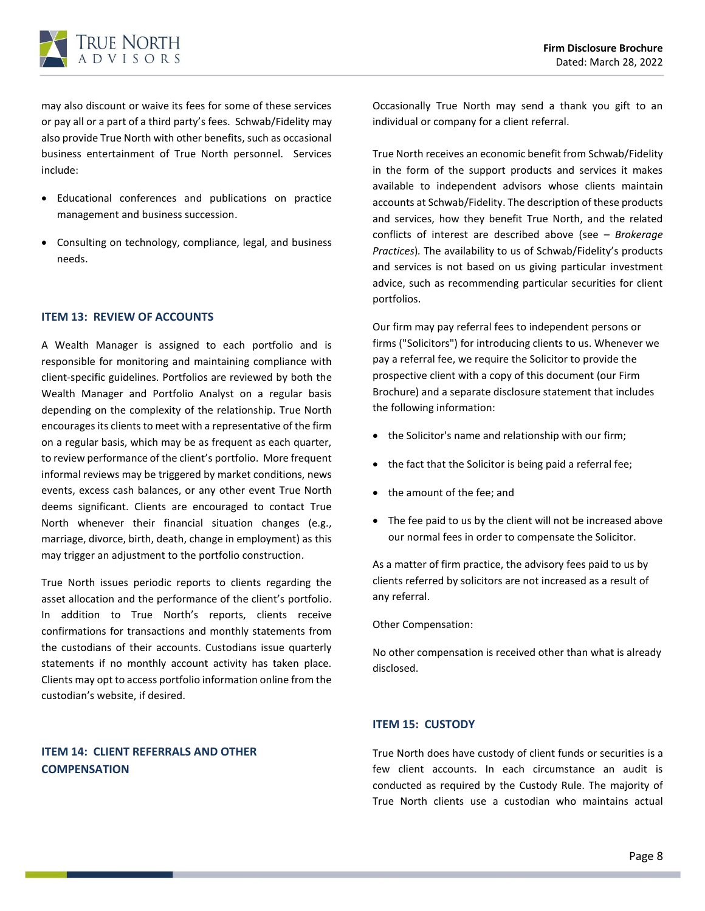

may also discount or waive its fees for some of these services or pay all or a part of a third party's fees. Schwab/Fidelity may also provide True North with other benefits, such as occasional business entertainment of True North personnel. Services include:

- Educational conferences and publications on practice management and business succession.
- Consulting on technology, compliance, legal, and business needs.

#### <span id="page-9-0"></span>**ITEM 13: REVIEW OF ACCOUNTS**

A Wealth Manager is assigned to each portfolio and is responsible for monitoring and maintaining compliance with client-specific guidelines. Portfolios are reviewed by both the Wealth Manager and Portfolio Analyst on a regular basis depending on the complexity of the relationship. True North encourages its clients to meet with a representative of the firm on a regular basis, which may be as frequent as each quarter, to review performance of the client's portfolio. More frequent informal reviews may be triggered by market conditions, news events, excess cash balances, or any other event True North deems significant. Clients are encouraged to contact True North whenever their financial situation changes (e.g., marriage, divorce, birth, death, change in employment) as this may trigger an adjustment to the portfolio construction.

True North issues periodic reports to clients regarding the asset allocation and the performance of the client's portfolio. In addition to True North's reports, clients receive confirmations for transactions and monthly statements from the custodians of their accounts. Custodians issue quarterly statements if no monthly account activity has taken place. Clients may opt to access portfolio information online from the custodian's website, if desired.

## <span id="page-9-1"></span>**ITEM 14: CLIENT REFERRALS AND OTHER COMPENSATION**

Occasionally True North may send a thank you gift to an individual or company for a client referral.

True North receives an economic benefit from Schwab/Fidelity in the form of the support products and services it makes available to independent advisors whose clients maintain accounts at Schwab/Fidelity. The description of these products and services, how they benefit True North, and the related conflicts of interest are described above (see *– Brokerage Practices*)*.* The availability to us of Schwab/Fidelity's products and services is not based on us giving particular investment advice, such as recommending particular securities for client portfolios.

Our firm may pay referral fees to independent persons or firms ("Solicitors") for introducing clients to us. Whenever we pay a referral fee, we require the Solicitor to provide the prospective client with a copy of this document (our Firm Brochure) and a separate disclosure statement that includes the following information:

- the Solicitor's name and relationship with our firm;
- the fact that the Solicitor is being paid a referral fee;
- the amount of the fee; and
- The fee paid to us by the client will not be increased above our normal fees in order to compensate the Solicitor.

As a matter of firm practice, the advisory fees paid to us by clients referred by solicitors are not increased as a result of any referral.

Other Compensation:

No other compensation is received other than what is already disclosed.

### <span id="page-9-2"></span>**ITEM 15: CUSTODY**

True North does have custody of client funds or securities is a few client accounts. In each circumstance an audit is conducted as required by the Custody Rule. The majority of True North clients use a custodian who maintains actual